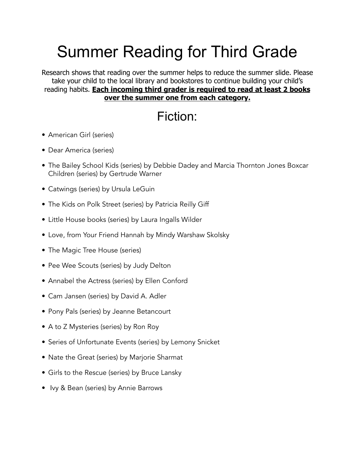## Summer Reading for Third Grade

Research shows that reading over the summer helps to reduce the summer slide. Please take your child to the local library and bookstores to continue building your child's reading habits. **Each incoming third grader is required to read at least 2 books over the summer one from each category.**

## Fiction:

- American Girl (series)
- Dear America (series)
- The Bailey School Kids (series) by Debbie Dadey and Marcia Thornton Jones Boxcar Children (series) by Gertrude Warner
- Catwings (series) by Ursula LeGuin
- The Kids on Polk Street (series) by Patricia Reilly Giff
- Little House books (series) by Laura Ingalls Wilder
- Love, from Your Friend Hannah by Mindy Warshaw Skolsky
- The Magic Tree House (series)
- Pee Wee Scouts (series) by Judy Delton
- Annabel the Actress (series) by Ellen Conford
- Cam Jansen (series) by David A. Adler
- Pony Pals (series) by Jeanne Betancourt
- A to Z Mysteries (series) by Ron Roy
- Series of Unfortunate Events (series) by Lemony Snicket
- Nate the Great (series) by Marjorie Sharmat
- Girls to the Rescue (series) by Bruce Lansky
- Ivy & Bean (series) by Annie Barrows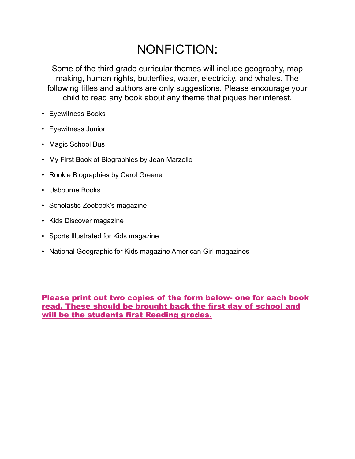## NONFICTION:

Some of the third grade curricular themes will include geography, map making, human rights, butterflies, water, electricity, and whales. The following titles and authors are only suggestions. Please encourage your child to read any book about any theme that piques her interest.

- Eyewitness Books
- Eyewitness Junior
- Magic School Bus
- My First Book of Biographies by Jean Marzollo
- Rookie Biographies by Carol Greene
- Usbourne Books
- Scholastic Zoobook's magazine
- Kids Discover magazine
- Sports Illustrated for Kids magazine
- National Geographic for Kids magazine American Girl magazines

Please print out two copies of the form below- one for each book read. These should be brought back the first day of school and will be the students first Reading grades.